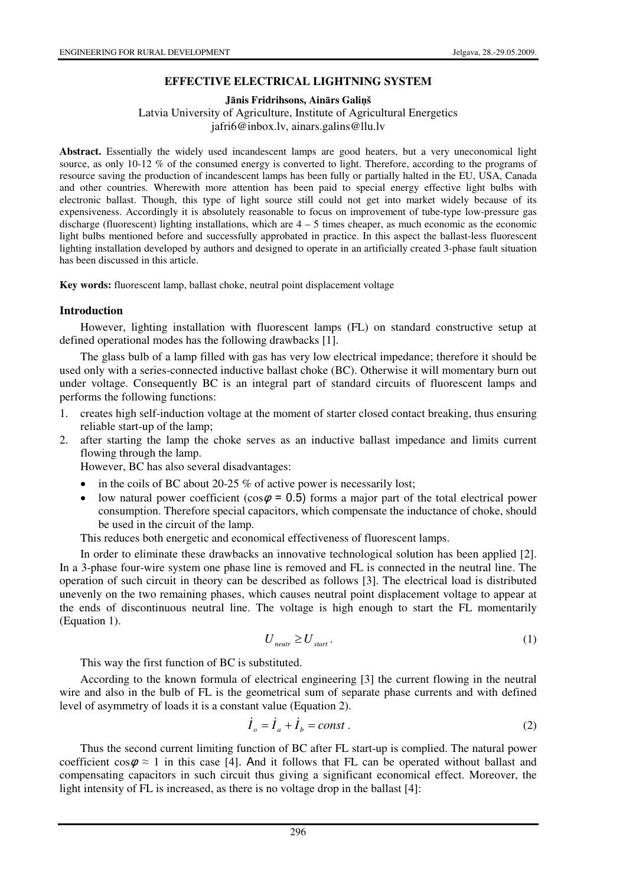## **EFFECTIVE ELECTRICAL LIGHTNING SYSTEM**

**J**ā**nis Fridrihsons, Ain**ā**rs Gali**ņ**š** 

Latvia University of Agriculture, Institute of Agricultural Energetics jafri6@inbox.lv, ainars.galins@llu.lv

**Abstract.** Essentially the widely used incandescent lamps are good heaters, but a very uneconomical light source, as only 10-12 % of the consumed energy is converted to light. Therefore, according to the programs of resource saving the production of incandescent lamps has been fully or partially halted in the EU, USA, Canada and other countries. Wherewith more attention has been paid to special energy effective light bulbs with electronic ballast. Though, this type of light source still could not get into market widely because of its expensiveness. Accordingly it is absolutely reasonable to focus on improvement of tube-type low-pressure gas discharge (fluorescent) lighting installations, which are 4 – 5 times cheaper, as much economic as the economic light bulbs mentioned before and successfully approbated in practice. In this aspect the ballast-less fluorescent lighting installation developed by authors and designed to operate in an artificially created 3-phase fault situation has been discussed in this article.

**Key words:** fluorescent lamp, ballast choke, neutral point displacement voltage

#### **Introduction**

However, lighting installation with fluorescent lamps (FL) on standard constructive setup at defined operational modes has the following drawbacks [1].

The glass bulb of a lamp filled with gas has very low electrical impedance; therefore it should be used only with a series-connected inductive ballast choke (BC). Otherwise it will momentary burn out under voltage. Consequently BC is an integral part of standard circuits of fluorescent lamps and performs the following functions:

- 1. creates high self-induction voltage at the moment of starter closed contact breaking, thus ensuring reliable start-up of the lamp;
- 2. after starting the lamp the choke serves as an inductive ballast impedance and limits current flowing through the lamp.

However, BC has also several disadvantages:

- in the coils of BC about 20-25  $%$  of active power is necessarily lost;
- low natural power coefficient (cos $\varphi$  = 0.5) forms a major part of the total electrical power consumption. Therefore special capacitors, which compensate the inductance of choke, should be used in the circuit of the lamp.

This reduces both energetic and economical effectiveness of fluorescent lamps.

In order to eliminate these drawbacks an innovative technological solution has been applied [2]. In a 3-phase four-wire system one phase line is removed and FL is connected in the neutral line. The operation of such circuit in theory can be described as follows [3]. The electrical load is distributed unevenly on the two remaining phases, which causes neutral point displacement voltage to appear at the ends of discontinuous neutral line. The voltage is high enough to start the FL momentarily (Equation 1).

$$
U_{\text{neutr}} \ge U_{\text{start}}.\tag{1}
$$

This way the first function of BC is substituted.

According to the known formula of electrical engineering [3] the current flowing in the neutral wire and also in the bulb of FL is the geometrical sum of separate phase currents and with defined level of asymmetry of loads it is a constant value (Equation 2).

$$
\dot{I}_o = \dot{I}_a + \dot{I}_b = const.
$$
 (2)

Thus the second current limiting function of BC after FL start-up is complied. The natural power coefficient  $\cos \varphi \approx 1$  in this case [4]. And it follows that FL can be operated without ballast and compensating capacitors in such circuit thus giving a significant economical effect. Moreover, the light intensity of FL is increased, as there is no voltage drop in the ballast [4]: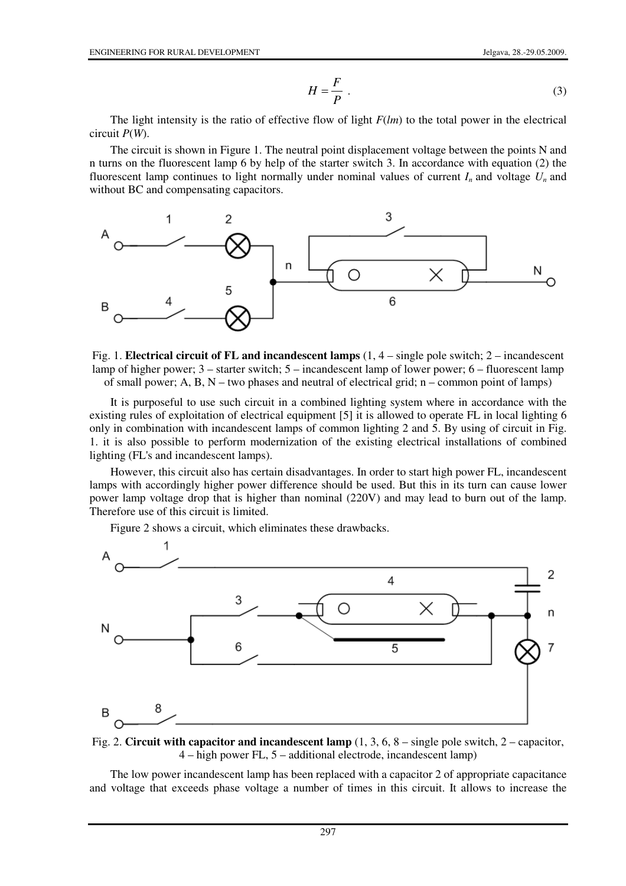$$
H = \frac{F}{P} \tag{3}
$$

The light intensity is the ratio of effective flow of light *F*(*lm*) to the total power in the electrical circuit *P*(*W*).

The circuit is shown in Figure 1. The neutral point displacement voltage between the points N and n turns on the fluorescent lamp 6 by help of the starter switch 3. In accordance with equation (2) the fluorescent lamp continues to light normally under nominal values of current  $I_n$  and voltage  $U_n$  and without BC and compensating capacitors.



Fig. 1. **Electrical circuit of FL and incandescent lamps** (1, 4 – single pole switch; 2 – incandescent lamp of higher power; 3 – starter switch; 5 – incandescent lamp of lower power; 6 – fluorescent lamp of small power; A, B,  $N$  – two phases and neutral of electrical grid; n – common point of lamps)

It is purposeful to use such circuit in a combined lighting system where in accordance with the existing rules of exploitation of electrical equipment [5] it is allowed to operate FL in local lighting 6 only in combination with incandescent lamps of common lighting 2 and 5. By using of circuit in Fig. 1. it is also possible to perform modernization of the existing electrical installations of combined lighting (FL's and incandescent lamps).

However, this circuit also has certain disadvantages. In order to start high power FL, incandescent lamps with accordingly higher power difference should be used. But this in its turn can cause lower power lamp voltage drop that is higher than nominal (220V) and may lead to burn out of the lamp. Therefore use of this circuit is limited.

Figure 2 shows a circuit, which eliminates these drawbacks.



Fig. 2. **Circuit with capacitor and incandescent lamp** (1, 3, 6, 8 – single pole switch, 2 – capacitor, 4 – high power FL, 5 – additional electrode, incandescent lamp)

The low power incandescent lamp has been replaced with a capacitor 2 of appropriate capacitance and voltage that exceeds phase voltage a number of times in this circuit. It allows to increase the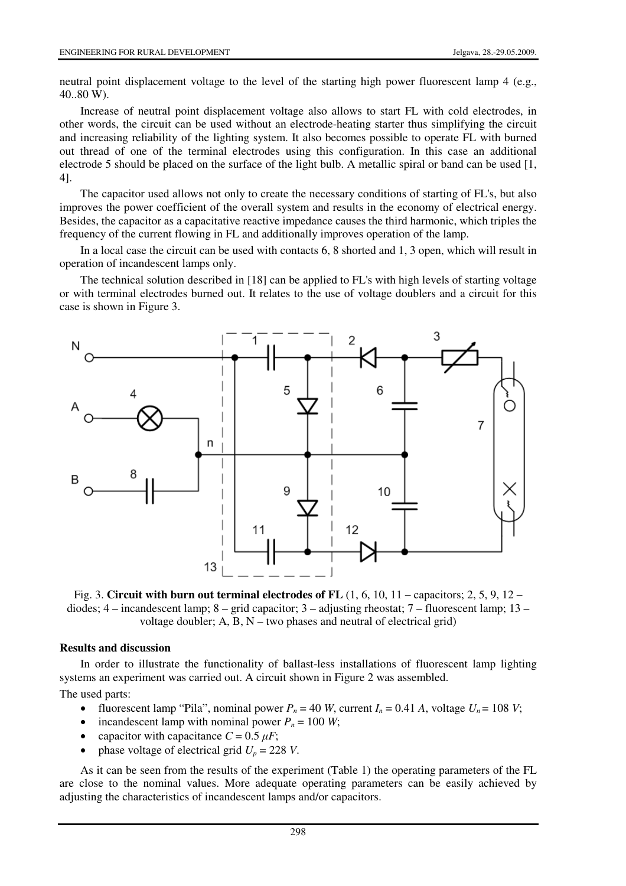neutral point displacement voltage to the level of the starting high power fluorescent lamp 4 (e.g., 40..80 W).

Increase of neutral point displacement voltage also allows to start FL with cold electrodes, in other words, the circuit can be used without an electrode-heating starter thus simplifying the circuit and increasing reliability of the lighting system. It also becomes possible to operate FL with burned out thread of one of the terminal electrodes using this configuration. In this case an additional electrode 5 should be placed on the surface of the light bulb. A metallic spiral or band can be used [1, 4].

The capacitor used allows not only to create the necessary conditions of starting of FL's, but also improves the power coefficient of the overall system and results in the economy of electrical energy. Besides, the capacitor as a capacitative reactive impedance causes the third harmonic, which triples the frequency of the current flowing in FL and additionally improves operation of the lamp.

In a local case the circuit can be used with contacts 6, 8 shorted and 1, 3 open, which will result in operation of incandescent lamps only.

The technical solution described in [18] can be applied to FL's with high levels of starting voltage or with terminal electrodes burned out. It relates to the use of voltage doublers and a circuit for this case is shown in Figure 3.



Fig. 3. **Circuit with burn out terminal electrodes of FL** (1, 6, 10, 11 – capacitors; 2, 5, 9, 12 – diodes;  $4$  – incandescent lamp;  $8$  – grid capacitor;  $3$  – adjusting rheostat;  $7$  – fluorescent lamp;  $13$  – voltage doubler;  $A$ ,  $B$ ,  $N$  – two phases and neutral of electrical grid)

#### **Results and discussion**

In order to illustrate the functionality of ballast-less installations of fluorescent lamp lighting systems an experiment was carried out. A circuit shown in Figure 2 was assembled.

The used parts:

- fluorescent lamp "Pila", nominal power  $P_n = 40$  *W*, current  $I_n = 0.41$  *A*, voltage  $U_n = 108$  *V*;
- incandescent lamp with nominal power  $P_n = 100$  *W*;
- capacitor with capacitance  $C = 0.5 \mu F$ ;
- phase voltage of electrical grid  $U_p = 228$  *V*.

As it can be seen from the results of the experiment (Table 1) the operating parameters of the FL are close to the nominal values. More adequate operating parameters can be easily achieved by adjusting the characteristics of incandescent lamps and/or capacitors.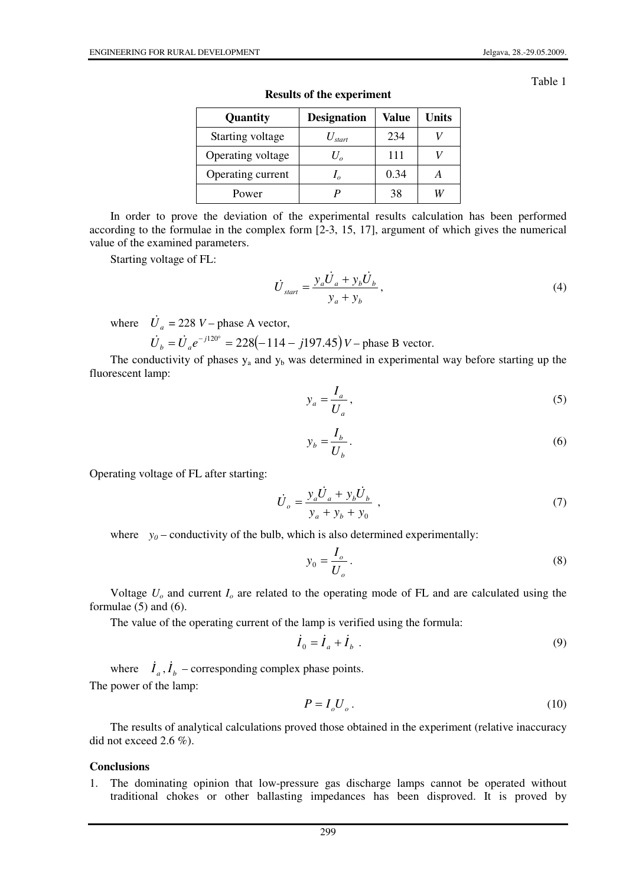Table 1

| Quantity          | <b>Designation</b> | Value | <b>Units</b> |
|-------------------|--------------------|-------|--------------|
| Starting voltage  | $U_{\text{start}}$ | 234   |              |
| Operating voltage | $U_{\alpha}$       | 111   |              |
| Operating current |                    | 0.34  |              |
| Power             |                    | 38    |              |

**Results of the experiment** 

In order to prove the deviation of the experimental results calculation has been performed according to the formulae in the complex form [2-3, 15, 17], argument of which gives the numerical value of the examined parameters.

Starting voltage of FL:

$$
\dot{U}_{\text{start}} = \frac{y_a \dot{U}_a + y_b \dot{U}_b}{y_a + y_b},\tag{4}
$$

where  $\dot{U}_a = 228 \text{ V} - \text{phase A vector},$ 

 $\dot{U}_b = \dot{U}_a e^{-j120^\circ} = 228(-114 - j197.45) V$  – phase B vector.

The conductivity of phases  $y_a$  and  $y_b$  was determined in experimental way before starting up the fluorescent lamp:

$$
y_a = \frac{I_a}{U_a},\tag{5}
$$

$$
y_b = \frac{I_b}{U_b} \,. \tag{6}
$$

Operating voltage of FL after starting:

$$
\dot{U}_o = \frac{y_a \dot{U}_a + y_b \dot{U}_b}{y_a + y_b + y_0} \tag{7}
$$

where  $y_0$  – conductivity of the bulb, which is also determined experimentally:

$$
y_0 = \frac{I_o}{U_o}.
$$
\n<sup>(8)</sup>

Voltage *Uo* and current *Io* are related to the operating mode of FL and are calculated using the formulae (5) and (6).

The value of the operating current of the lamp is verified using the formula:

$$
\dot{I}_0 = \dot{I}_a + \dot{I}_b \tag{9}
$$

where  $\dot{I}_a, \dot{I}_b$  – corresponding complex phase points. The power of the lamp:

$$
P = I_o U_o \,. \tag{10}
$$

The results of analytical calculations proved those obtained in the experiment (relative inaccuracy did not exceed 2.6 %).

### **Conclusions**

1. The dominating opinion that low-pressure gas discharge lamps cannot be operated without traditional chokes or other ballasting impedances has been disproved. It is proved by